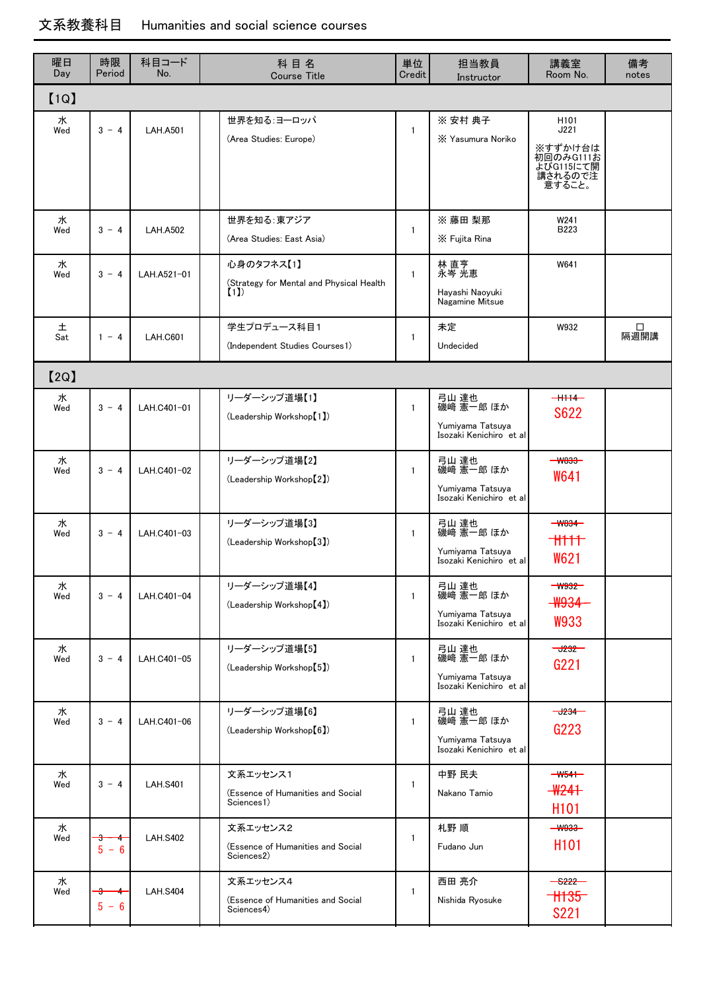## 文系教養科目 Humanities and social science courses

| 曜日<br>Day | 時限<br>Period      | 科目コード<br>No.    | 科目名<br><b>Course Title</b>                                    | 単位<br>Credit | 担当教員<br>Instructor                                                | 講義室<br>Room No.                                                                    | 備考<br>notes |  |  |  |  |  |  |
|-----------|-------------------|-----------------|---------------------------------------------------------------|--------------|-------------------------------------------------------------------|------------------------------------------------------------------------------------|-------------|--|--|--|--|--|--|
| [1Q]      |                   |                 |                                                               |              |                                                                   |                                                                                    |             |  |  |  |  |  |  |
| 水<br>Wed  | $3 - 4$           | <b>LAH.A501</b> | 世界を知る:ヨーロッパ<br>(Area Studies: Europe)                         | $\mathbf{1}$ | ※ 安村 典子<br>X Yasumura Noriko                                      | H <sub>101</sub><br>J221<br>※すずかけ台は<br>初回のみG111お<br>よびG115にて開<br>講されるので注<br>意すること。 |             |  |  |  |  |  |  |
| 水<br>Wed  | $3 - 4$           | <b>LAH.A502</b> | 世界を知る:東アジア<br>(Area Studies: East Asia)                       | $\mathbf{1}$ | ※ 藤田 梨那<br>X Fujita Rina                                          | W241<br><b>B223</b>                                                                |             |  |  |  |  |  |  |
| 水<br>Wed  | $3 - 4$           | LAH.A521-01     | 心身のタフネス【1】<br>(Strategy for Mental and Physical Health<br>(1) | $\mathbf{1}$ | 林 直亨<br>永岑 光恵<br>Hayashi Naoyuki<br>Nagamine Mitsue               | W641                                                                               |             |  |  |  |  |  |  |
| 土<br>Sat  | $1 - 4$           | <b>LAH.C601</b> | 学生プロデュース科目1<br>(Independent Studies Courses1)                 | $\mathbf{1}$ | 未定<br>Undecided                                                   | W932                                                                               | □<br>隔週開講   |  |  |  |  |  |  |
| [2Q]      |                   |                 |                                                               |              |                                                                   |                                                                                    |             |  |  |  |  |  |  |
| 水<br>Wed  | $3 - 4$           | LAH.C401-01     | リーダーシップ道場【1】<br>(Leadership Workshop <sup>[1]</sup> )         | $\mathbf{1}$ | 弓山 達也<br>磯﨑 憲一郎 ほか<br>Yumiyama Tatsuya<br>Isozaki Kenichiro et al | $+1114-$<br>S622                                                                   |             |  |  |  |  |  |  |
| 水<br>Wed  | $3 - 4$           | LAH.C401-02     | リーダーシップ道場【2】<br>(Leadership Workshop <sup>[2]</sup> )         | $\mathbf{1}$ | 弓山 達也<br>磯﨑 憲一郎 ほか<br>Yumiyama Tatsuya<br>Isozaki Kenichiro et al | $ W833-$<br>W641                                                                   |             |  |  |  |  |  |  |
| 水<br>Wed  | $3 - 4$           | LAH.C401-03     | リーダーシップ道場【3】<br>(Leadership Workshop[3])                      | $\mathbf{1}$ | 弓山 達也<br>磯﨑 憲一郎 ほか<br>Yumiyama Tatsuya<br>Isozaki Kenichiro et al | $W834 -$<br>W621                                                                   |             |  |  |  |  |  |  |
| 水<br>Wed  | $3 - 4$           | LAH.C401-04     | リーダーシップ道場【4】<br>(Leadership Workshop <sup>[4]</sup> )         | $\mathbf{1}$ | 弓山 達也<br>磯﨑 憲一郎 ほか<br>Yumiyama Tatsuya<br>Isozaki Kenichiro et al | $ W932-$<br><b>W934</b><br>W933                                                    |             |  |  |  |  |  |  |
| 水<br>Wed  | $3 - 4$           | LAH.C401-05     | リーダーシップ道場【5】<br>(Leadership Workshop <sup>[5]</sup> )         | $\mathbf{1}$ | 弓山 達也<br>磯﨑 憲一郎 ほか<br>Yumiyama Tatsuya<br>Isozaki Kenichiro et al | $-3232$<br>G221                                                                    |             |  |  |  |  |  |  |
| 水<br>Wed  | $3 - 4$           | LAH.C401-06     | リーダーシップ道場【6】<br>(Leadership Workshop <sup>[6]</sup> )         | $\mathbf{1}$ | 弓山 達也<br>磯﨑 憲一郎 ほか<br>Yumiyama Tatsuya<br>Isozaki Kenichiro et al | $-1234-$<br>G223                                                                   |             |  |  |  |  |  |  |
| 水<br>Wed  | $3 - 4$           | <b>LAH.S401</b> | 文系エッセンス1<br>(Essence of Humanities and Social<br>Sciences1)   | $\mathbf{1}$ | 中野 民夫<br>Nakano Tamio                                             | $-W541-$<br>$-W241$<br>H <sub>101</sub>                                            |             |  |  |  |  |  |  |
| 水<br>Wed  | ÷<br>↞<br>$5 - 6$ | <b>LAH.S402</b> | 文系エッセンス2<br>(Essence of Humanities and Social<br>Sciences2)   | $\mathbf{1}$ | 札野 順<br>Fudano Jun                                                | $-44933-$<br>H <sub>101</sub>                                                      |             |  |  |  |  |  |  |
| 水<br>Wed  | ÷<br>┭<br>$5 - 6$ | <b>LAH.S404</b> | 文系エッセンス4<br>(Essence of Humanities and Social<br>Sciences4)   | $\mathbf{1}$ | 西田 亮介<br>Nishida Ryosuke                                          | $+1135$<br><b>S221</b>                                                             |             |  |  |  |  |  |  |